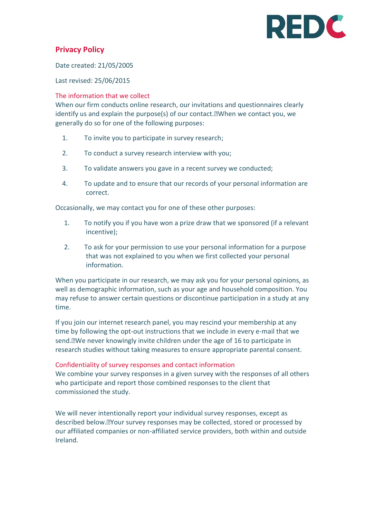

# **Privacy Policy**

Date created: 21/05/2005

Last revised: 25/06/2015

## The information that we collect

When our firm conducts online research, our invitations and questionnaires clearly identify us and explain the purpose(s) of our contact.When we contact you, we generally do so for one of the following purposes:

- 1. To invite you to participate in survey research;
- 2. To conduct a survey research interview with you;
- 3. To validate answers you gave in a recent survey we conducted;
- 4. To update and to ensure that our records of your personal information are correct.

Occasionally, we may contact you for one of these other purposes:

- 1. To notify you if you have won a prize draw that we sponsored (if a relevant incentive);
- 2. To ask for your permission to use your personal information for a purpose that was not explained to you when we first collected your personal information.

When you participate in our research, we may ask you for your personal opinions, as well as demographic information, such as your age and household composition. You may refuse to answer certain questions or discontinue participation in a study at any time.

If you join our internet research panel, you may rescind your membership at any time by following the opt-out instructions that we include in every e-mail that we send.We never knowingly invite children under the age of 16 to participate in research studies without taking measures to ensure appropriate parental consent.

Confidentiality of survey responses and contact information We combine your survey responses in a given survey with the responses of all others who participate and report those combined responses to the client that commissioned the study.

We will never intentionally report your individual survey responses, except as described below.Your survey responses may be collected, stored or processed by our affiliated companies or non-affiliated service providers, both within and outside Ireland.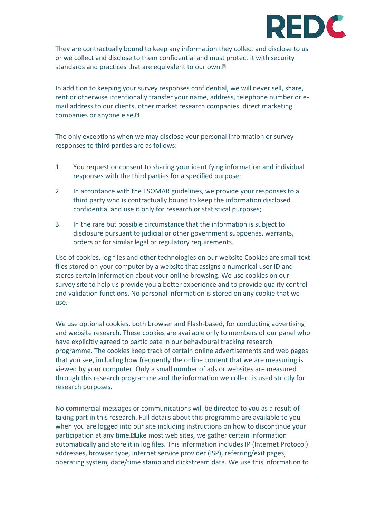

They are contractually bound to keep any information they collect and disclose to us or we collect and disclose to them confidential and must protect it with security standards and practices that are equivalent to our own.<sup>[2]</sup>

In addition to keeping your survey responses confidential, we will never sell, share, rent or otherwise intentionally transfer your name, address, telephone number or email address to our clients, other market research companies, direct marketing companies or anyone else.

The only exceptions when we may disclose your personal information or survey responses to third parties are as follows:

- 1. You request or consent to sharing your identifying information and individual responses with the third parties for a specified purpose;
- 2. In accordance with the ESOMAR guidelines, we provide your responses to a third party who is contractually bound to keep the information disclosed confidential and use it only for research or statistical purposes;
- 3. In the rare but possible circumstance that the information is subject to disclosure pursuant to judicial or other government subpoenas, warrants, orders or for similar legal or regulatory requirements.

Use of cookies, log files and other technologies on our website Cookies are small text files stored on your computer by a website that assigns a numerical user ID and stores certain information about your online browsing. We use cookies on our survey site to help us provide you a better experience and to provide quality control and validation functions. No personal information is stored on any cookie that we use.

We use optional cookies, both browser and Flash-based, for conducting advertising and website research. These cookies are available only to members of our panel who have explicitly agreed to participate in our behavioural tracking research programme. The cookies keep track of certain online advertisements and web pages that you see, including how frequently the online content that we are measuring is viewed by your computer. Only a small number of ads or websites are measured through this research programme and the information we collect is used strictly for research purposes.

No commercial messages or communications will be directed to you as a result of taking part in this research. Full details about this programme are available to you when you are logged into our site including instructions on how to discontinue your participation at any time.Like most web sites, we gather certain information automatically and store it in log files. This information includes IP (Internet Protocol) addresses, browser type, internet service provider (ISP), referring/exit pages, operating system, date/time stamp and clickstream data. We use this information to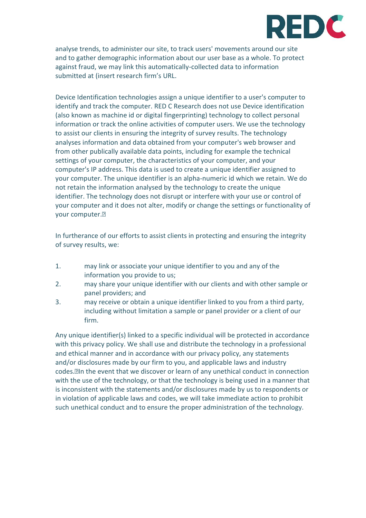

analyse trends, to administer our site, to track users' movements around our site and to gather demographic information about our user base as a whole. To protect against fraud, we may link this automatically-collected data to information submitted at (insert research firm's URL.

Device Identification technologies assign a unique identifier to a user's computer to identify and track the computer. RED C Research does not use Device identification (also known as machine id or digital fingerprinting) technology to collect personal information or track the online activities of computer users. We use the technology to assist our clients in ensuring the integrity of survey results. The technology analyses information and data obtained from your computer's web browser and from other publically available data points, including for example the technical settings of your computer, the characteristics of your computer, and your computer's IP address. This data is used to create a unique identifier assigned to your computer. The unique identifier is an alpha-numeric id which we retain. We do not retain the information analysed by the technology to create the unique identifier. The technology does not disrupt or interfere with your use or control of your computer and it does not alter, modify or change the settings or functionality of your computer.

In furtherance of our efforts to assist clients in protecting and ensuring the integrity of survey results, we:

- 1. may link or associate your unique identifier to you and any of the information you provide to us;
- 2. may share your unique identifier with our clients and with other sample or panel providers; and
- 3. may receive or obtain a unique identifier linked to you from a third party, including without limitation a sample or panel provider or a client of our firm.

Any unique identifier(s) linked to a specific individual will be protected in accordance with this privacy policy. We shall use and distribute the technology in a professional and ethical manner and in accordance with our privacy policy, any statements and/or disclosures made by our firm to you, and applicable laws and industry codes.In the event that we discover or learn of any unethical conduct in connection with the use of the technology, or that the technology is being used in a manner that is inconsistent with the statements and/or disclosures made by us to respondents or in violation of applicable laws and codes, we will take immediate action to prohibit such unethical conduct and to ensure the proper administration of the technology.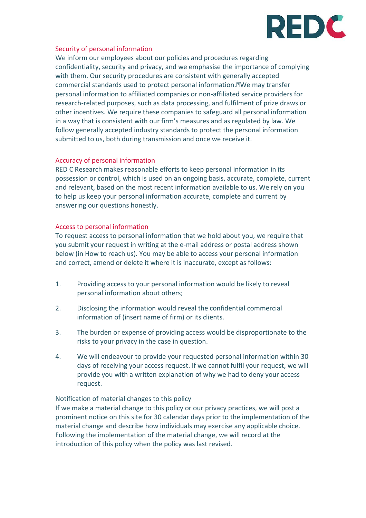

## Security of personal information

We inform our employees about our policies and procedures regarding confidentiality, security and privacy, and we emphasise the importance of complying with them. Our security procedures are consistent with generally accepted commercial standards used to protect personal information.We may transfer personal information to affiliated companies or non-affiliated service providers for research-related purposes, such as data processing, and fulfilment of prize draws or other incentives. We require these companies to safeguard all personal information in a way that is consistent with our firm's measures and as regulated by law. We follow generally accepted industry standards to protect the personal information submitted to us, both during transmission and once we receive it.

## Accuracy of personal information

RED C Research makes reasonable efforts to keep personal information in its possession or control, which is used on an ongoing basis, accurate, complete, current and relevant, based on the most recent information available to us. We rely on you to help us keep your personal information accurate, complete and current by answering our questions honestly.

#### Access to personal information

To request access to personal information that we hold about you, we require that you submit your request in writing at the e-mail address or postal address shown below (in How to reach us). You may be able to access your personal information and correct, amend or delete it where it is inaccurate, except as follows:

- 1. Providing access to your personal information would be likely to reveal personal information about others;
- 2. Disclosing the information would reveal the confidential commercial information of (insert name of firm) or its clients.
- 3. The burden or expense of providing access would be disproportionate to the risks to your privacy in the case in question.
- 4. We will endeavour to provide your requested personal information within 30 days of receiving your access request. If we cannot fulfil your request, we will provide you with a written explanation of why we had to deny your access request.

#### Notification of material changes to this policy

If we make a material change to this policy or our privacy practices, we will post a prominent notice on this site for 30 calendar days prior to the implementation of the material change and describe how individuals may exercise any applicable choice. Following the implementation of the material change, we will record at the introduction of this policy when the policy was last revised.